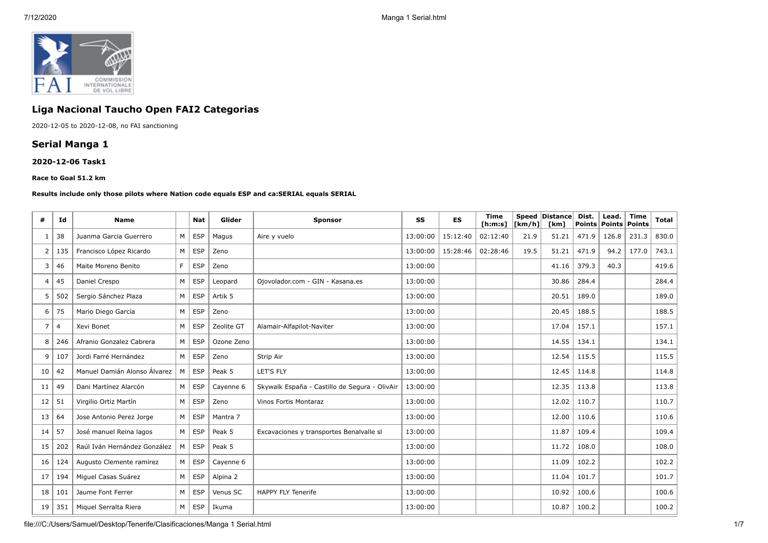

# **Liga Nacional Taucho Open FAI2 Categorias**

2020-12-05 to 2020-12-08, no FAI sanctioning

## **Serial Manga 1**

### **2020-12-06 Task1**

#### **Race to Goal 51.2 km**

#### **Results include only those pilots where Nation code equals ESP and ca:SERIAL equals SERIAL**

| #              | Id  | <b>Name</b>                  |    | Nat        | Glider     | <b>Sponsor</b>                                | <b>SS</b> | <b>ES</b> | <b>Time</b><br>[ h: m: s] | $\lfloor \lfloor km/h \rfloor \rfloor$ | Speed Distance<br>[km] | Dist. | Lead.<br>Points   Points   Points | <b>Time</b> | Total |
|----------------|-----|------------------------------|----|------------|------------|-----------------------------------------------|-----------|-----------|---------------------------|----------------------------------------|------------------------|-------|-----------------------------------|-------------|-------|
|                | 38  | Juanma Garcia Guerrero       | M  | <b>ESP</b> | Magus      | Aire y vuelo                                  | 13:00:00  | 15:12:40  | 02:12:40                  | 21.9                                   | 51.21                  | 471.9 | 126.8                             | 231.3       | 830.0 |
| 2              | 135 | Francisco López Ricardo      | M  | <b>ESP</b> | Zeno       |                                               | 13:00:00  | 15:28:46  | 02:28:46                  | 19.5                                   | 51.21                  | 471.9 | 94.2                              | 177.0       | 743.1 |
| 3              | 46  | Maite Moreno Benito          | F. | <b>ESP</b> | Zeno       |                                               | 13:00:00  |           |                           |                                        | 41.16                  | 379.3 | 40.3                              |             | 419.6 |
| $\overline{a}$ | 45  | Daniel Crespo                | M  | <b>ESP</b> | Leopard    | Ojovolador.com - GIN - Kasana.es              | 13:00:00  |           |                           |                                        | 30.86                  | 284.4 |                                   |             | 284.4 |
| 5              | 502 | Sergio Sánchez Plaza         | M  | <b>ESP</b> | Artik 5    |                                               | 13:00:00  |           |                           |                                        | 20.51                  | 189.0 |                                   |             | 189.0 |
| 6              | 75  | Mario Diego García           | M  | <b>ESP</b> | Zeno       |                                               | 13:00:00  |           |                           |                                        | 20.45                  | 188.5 |                                   |             | 188.5 |
| 7              | 4   | Xevi Bonet                   | M  | <b>ESP</b> | Zeolite GT | Alamair-Alfapilot-Naviter                     | 13:00:00  |           |                           |                                        | 17.04                  | 157.1 |                                   |             | 157.1 |
| 8              | 246 | Afranio Gonzalez Cabrera     | M  | <b>ESP</b> | Ozone Zeno |                                               | 13:00:00  |           |                           |                                        | 14.55                  | 134.1 |                                   |             | 134.1 |
| 9              | 107 | Jordi Farré Hernández        | M  | <b>ESP</b> | Zeno       | Strip Air                                     | 13:00:00  |           |                           |                                        | 12.54                  | 115.5 |                                   |             | 115.5 |
| 10             | 42  | Manuel Damián Alonso Álvarez | M  | <b>ESP</b> | Peak 5     | LET'S FLY                                     | 13:00:00  |           |                           |                                        | 12.45                  | 114.8 |                                   |             | 114.8 |
| 11             | 49  | Dani Martínez Alarcón        | M  | <b>ESP</b> | Cayenne 6  | Skywalk España - Castillo de Segura - OlivAir | 13:00:00  |           |                           |                                        | 12.35                  | 113.8 |                                   |             | 113.8 |
| 12             | 51  | Virgilio Ortiz Martín        | M  | <b>ESP</b> | Zeno       | Vinos Fortis Montaraz                         | 13:00:00  |           |                           |                                        | 12.02                  | 110.7 |                                   |             | 110.7 |
| 13             | 64  | Jose Antonio Perez Jorge     | M  | <b>ESP</b> | Mantra 7   |                                               | 13:00:00  |           |                           |                                        | 12.00                  | 110.6 |                                   |             | 110.6 |
| 14             | 57  | José manuel Reina lagos      | M  | <b>ESP</b> | Peak 5     | Excavaciones y transportes Benalvalle sl      | 13:00:00  |           |                           |                                        | 11.87                  | 109.4 |                                   |             | 109.4 |
| 15             | 202 | Raúl Iván Hernández González | M  | <b>ESP</b> | Peak 5     |                                               | 13:00:00  |           |                           |                                        | 11.72                  | 108.0 |                                   |             | 108.0 |
| 16             | 124 | Augusto Clemente ramirez     | M  | <b>ESP</b> | Cayenne 6  |                                               | 13:00:00  |           |                           |                                        | 11.09                  | 102.2 |                                   |             | 102.2 |
| 17             | 194 | Miguel Casas Suárez          | M  | <b>ESP</b> | Alpina 2   |                                               | 13:00:00  |           |                           |                                        | 11.04                  | 101.7 |                                   |             | 101.7 |
| 18             | 101 | Jaume Font Ferrer            | M  | <b>ESP</b> | Venus SC   | <b>HAPPY FLY Tenerife</b>                     | 13:00:00  |           |                           |                                        | 10.92                  | 100.6 |                                   |             | 100.6 |
| 19             | 351 | Miguel Serralta Riera        | M  | <b>ESP</b> | Ikuma      |                                               | 13:00:00  |           |                           |                                        | 10.87                  | 100.2 |                                   |             | 100.2 |

file:///C:/Users/Samuel/Desktop/Tenerife/Clasificaciones/Manga 1 Serial.html 1/7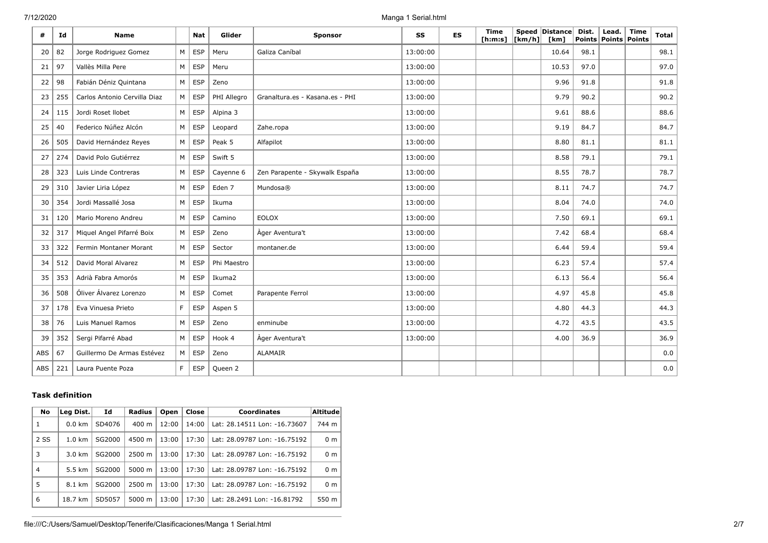7/12/2020 Manga 1 Serial.html

| #          | Id  | <b>Name</b>                  |   | <b>Nat</b> | Glider      | Sponsor                         | SS       | ES | <b>Time</b><br>[ <b>h</b> : <b>m</b> : <b>s</b> ] | $\lfloor \lfloor km/h \rfloor \rfloor$ | Speed Distance<br>[km] | Dist. | Lead.<br>Points   Points   Points | <b>Time</b> | <b>Total</b> |
|------------|-----|------------------------------|---|------------|-------------|---------------------------------|----------|----|---------------------------------------------------|----------------------------------------|------------------------|-------|-----------------------------------|-------------|--------------|
| 20         | 82  | Jorge Rodriguez Gomez        | M | <b>ESP</b> | Meru        | Galiza Caníbal                  | 13:00:00 |    |                                                   |                                        | 10.64                  | 98.1  |                                   |             | 98.1         |
| 21         | 97  | Vallès Milla Pere            | M | <b>ESP</b> | Meru        |                                 | 13:00:00 |    |                                                   |                                        | 10.53                  | 97.0  |                                   |             | 97.0         |
| 22         | 98  | Fabián Déniz Quintana        | M | <b>ESP</b> | Zeno        |                                 | 13:00:00 |    |                                                   |                                        | 9.96                   | 91.8  |                                   |             | 91.8         |
| 23         | 255 | Carlos Antonio Cervilla Diaz | M | <b>ESP</b> | PHI Allegro | Granaltura.es - Kasana.es - PHI | 13:00:00 |    |                                                   |                                        | 9.79                   | 90.2  |                                   |             | 90.2         |
| 24         | 115 | Jordi Roset Ilobet           | M | <b>ESP</b> | Alpina 3    |                                 | 13:00:00 |    |                                                   |                                        | 9.61                   | 88.6  |                                   |             | 88.6         |
| 25         | 40  | Federico Núñez Alcón         | M | <b>ESP</b> | Leopard     | Zahe.ropa                       | 13:00:00 |    |                                                   |                                        | 9.19                   | 84.7  |                                   |             | 84.7         |
| 26         | 505 | David Hernández Reyes        | M | <b>ESP</b> | Peak 5      | Alfapilot                       | 13:00:00 |    |                                                   |                                        | 8.80                   | 81.1  |                                   |             | 81.1         |
| 27         | 274 | David Polo Gutiérrez         | M | <b>ESP</b> | Swift 5     |                                 | 13:00:00 |    |                                                   |                                        | 8.58                   | 79.1  |                                   |             | 79.1         |
| 28         | 323 | Luis Linde Contreras         | M | <b>ESP</b> | Cayenne 6   | Zen Parapente - Skywalk España  | 13:00:00 |    |                                                   |                                        | 8.55                   | 78.7  |                                   |             | 78.7         |
| 29         | 310 | Javier Liria López           | M | <b>ESP</b> | Eden 7      | Mundosa®                        | 13:00:00 |    |                                                   |                                        | 8.11                   | 74.7  |                                   |             | 74.7         |
| 30         | 354 | Jordi Massallé Josa          | M | <b>ESP</b> | Ikuma       |                                 | 13:00:00 |    |                                                   |                                        | 8.04                   | 74.0  |                                   |             | 74.0         |
| 31         | 120 | Mario Moreno Andreu          | M | <b>ESP</b> | Camino      | <b>EOLOX</b>                    | 13:00:00 |    |                                                   |                                        | 7.50                   | 69.1  |                                   |             | 69.1         |
| 32         | 317 | Miquel Angel Pifarré Boix    | M | <b>ESP</b> | Zeno        | Ager Aventura't                 | 13:00:00 |    |                                                   |                                        | 7.42                   | 68.4  |                                   |             | 68.4         |
| 33         | 322 | Fermin Montaner Morant       | M | <b>ESP</b> | Sector      | montaner.de                     | 13:00:00 |    |                                                   |                                        | 6.44                   | 59.4  |                                   |             | 59.4         |
| 34         | 512 | David Moral Alvarez          | M | <b>ESP</b> | Phi Maestro |                                 | 13:00:00 |    |                                                   |                                        | 6.23                   | 57.4  |                                   |             | 57.4         |
| 35         | 353 | Adrià Fabra Amorós           | M | <b>ESP</b> | Ikuma2      |                                 | 13:00:00 |    |                                                   |                                        | 6.13                   | 56.4  |                                   |             | 56.4         |
| 36         | 508 | Óliver Álvarez Lorenzo       | M | <b>ESP</b> | Comet       | Parapente Ferrol                | 13:00:00 |    |                                                   |                                        | 4.97                   | 45.8  |                                   |             | 45.8         |
| 37         | 178 | Eva Vinuesa Prieto           | F | <b>ESP</b> | Aspen 5     |                                 | 13:00:00 |    |                                                   |                                        | 4.80                   | 44.3  |                                   |             | 44.3         |
| 38         | 76  | Luis Manuel Ramos            | M | <b>ESP</b> | Zeno        | enminube                        | 13:00:00 |    |                                                   |                                        | 4.72                   | 43.5  |                                   |             | 43.5         |
| 39         | 352 | Sergi Pifarré Abad           | M | <b>ESP</b> | Hook 4      | Àger Aventura't                 | 13:00:00 |    |                                                   |                                        | 4.00                   | 36.9  |                                   |             | 36.9         |
| <b>ABS</b> | 67  | Guillermo De Armas Estévez   | M | <b>ESP</b> | Zeno        | <b>ALAMAIR</b>                  |          |    |                                                   |                                        |                        |       |                                   |             | 0.0          |
| <b>ABS</b> | 221 | Laura Puente Poza            | F | <b>ESP</b> | Queen 2     |                                 |          |    |                                                   |                                        |                        |       |                                   |             | 0.0          |

## **Task definition**

| No   | Leg Dist.        | Id     | Radius          | Open  | Close | <b>Coordinates</b>           | <b>Altitude</b> |
|------|------------------|--------|-----------------|-------|-------|------------------------------|-----------------|
|      | $0.0 \text{ km}$ | SD4076 | $400 \text{ m}$ | 12:00 | 14:00 | Lat: 28.14511 Lon: -16.73607 | 744 m           |
| 2 SS | $1.0 \text{ km}$ | SG2000 | 4500 m          | 13:00 | 17:30 | Lat: 28.09787 Lon: -16.75192 | 0 <sub>m</sub>  |
| 3    | $3.0 \text{ km}$ | SG2000 | 2500 m          | 13:00 | 17:30 | Lat: 28.09787 Lon: -16.75192 | 0 <sub>m</sub>  |
| 4    | 5.5 km           | SG2000 | 5000 m          | 13:00 | 17:30 | Lat: 28.09787 Lon: -16.75192 | 0 <sub>m</sub>  |
| 5    | 8.1 km           | SG2000 | 2500 m          | 13:00 | 17:30 | Lat: 28.09787 Lon: -16.75192 | 0 <sub>m</sub>  |
| 6    | 18.7 km          | SD5057 | 5000 m          | 13:00 | 17:30 | Lat: 28.2491 Lon: -16.81792  | 550 m           |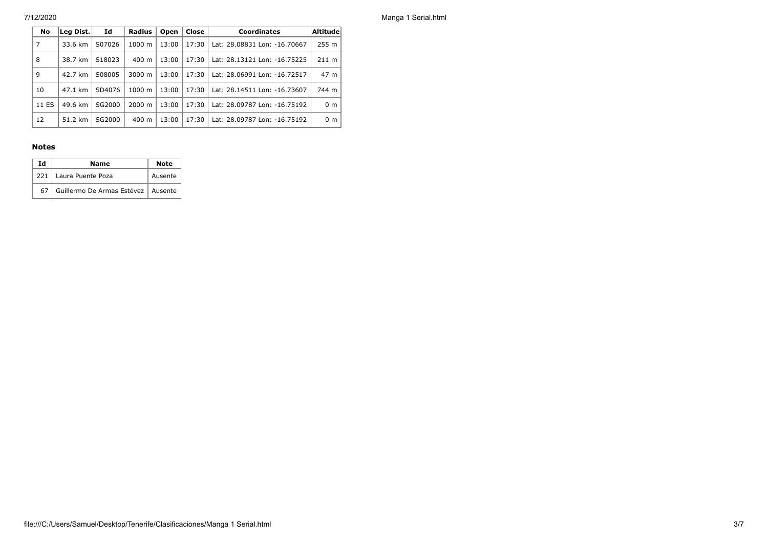7/12/2020 Manga 1 Serial.html

| No    | Leg Dist. | Id                 | <b>Radius</b>      | Open  | Close | <b>Coordinates</b>           | Altitude        |
|-------|-----------|--------------------|--------------------|-------|-------|------------------------------|-----------------|
| 7     | 33.6 km   | S07026             | 1000 m             | 13:00 | 17:30 | Lat: 28.08831 Lon: -16.70667 | 255 m           |
| 8     | 38.7 km   | S <sub>18023</sub> | $400 \text{ m}$    | 13:00 | 17:30 | Lat: 28.13121 Lon: -16.75225 | $211 \text{ m}$ |
| 9     | 42.7 km   | S08005             | $3000 \; \text{m}$ | 13:00 | 17:30 | Lat: 28.06991 Lon: -16.72517 | $47 \text{ m}$  |
| 10    | 47.1 km   | SD4076             | $1000 \;{\rm m}$   | 13:00 | 17:30 | Lat: 28.14511 Lon: -16.73607 | 744 m           |
| 11 ES | 49.6 km   | SG2000             | $2000 \; \text{m}$ | 13:00 | 17:30 | Lat: 28.09787 Lon: -16.75192 | 0 <sub>m</sub>  |
| 12    | 51.2 km   | SG2000             | $400 \text{ m}$    | 13:00 | 17:30 | Lat: 28.09787 Lon: -16.75192 | 0 m             |

#### **Notes**

| Ιd | Name                                 | <b>Note</b> |
|----|--------------------------------------|-------------|
|    | 221   Laura Puente Poza              | Ausente     |
| 67 | Guillermo De Armas Estévez   Ausente |             |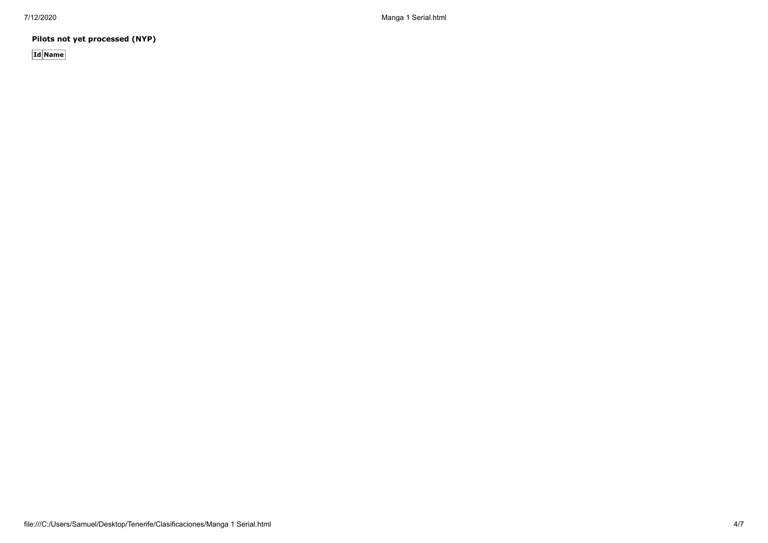7/12/2020 Manga 1 Serial.html

**Pilots not yet processed (NYP)**

**Id Name**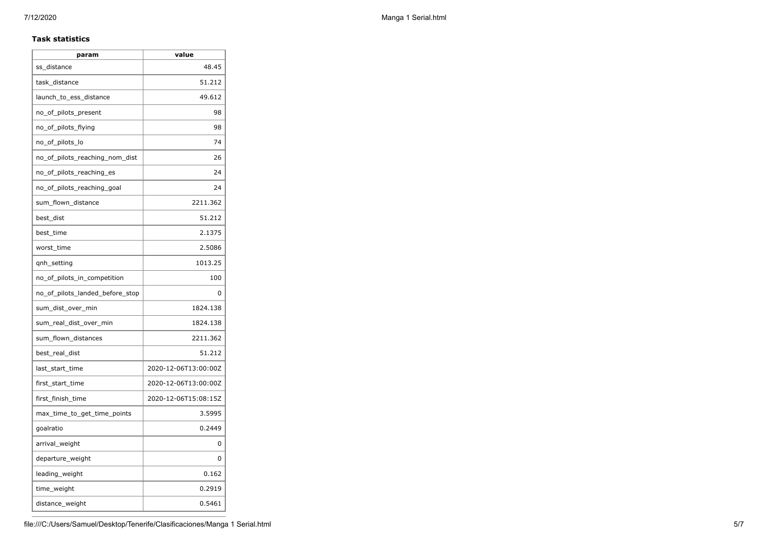## **Task statistics**

| param                           | value                |
|---------------------------------|----------------------|
| ss distance                     | 48.45                |
| task distance                   | 51.212               |
| launch_to_ess_distance          | 49.612               |
| no_of_pilots_present            | 98                   |
| no_of_pilots_flying             | 98                   |
| no_of_pilots_lo                 | 74                   |
| no_of_pilots_reaching_nom_dist  | 26                   |
| no_of_pilots_reaching_es        | 24                   |
| no_of_pilots_reaching_goal      | 24                   |
| sum_flown_distance              | 2211.362             |
| best dist                       | 51.212               |
| best_time                       | 2.1375               |
| worst_time                      | 2.5086               |
| qnh_setting                     | 1013.25              |
| no_of_pilots_in_competition     | 100                  |
| no of pilots landed before stop | 0                    |
| sum_dist_over_min               | 1824.138             |
| sum_real_dist_over_min          | 1824.138             |
| sum_flown_distances             | 2211.362             |
| best_real_dist                  | 51.212               |
| last start time                 | 2020-12-06T13:00:00Z |
| first_start_time                | 2020-12-06T13:00:00Z |
| first_finish_time               | 2020-12-06T15:08:15Z |
| max_time_to_get_time_points     | 3.5995               |
| goalratio                       | 0.2449               |
| arrival_weight                  | 0                    |
| departure_weight                | 0                    |
| leading_weight                  | 0.162                |
| time_weight                     | 0.2919               |
| distance_weight                 | 0.5461               |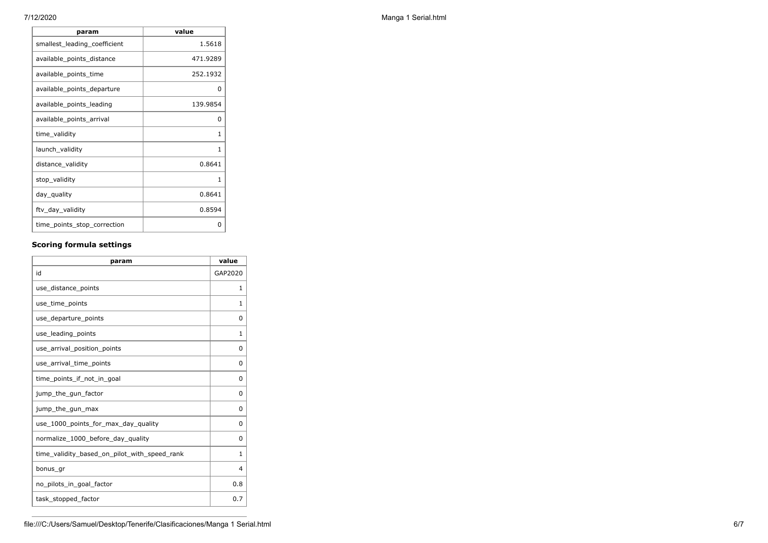| param                        | value    |
|------------------------------|----------|
| smallest_leading_coefficient | 1.5618   |
| available_points_distance    | 471.9289 |
| available_points_time        | 252.1932 |
| available_points_departure   | 0        |
| available points leading     | 139.9854 |
| available_points_arrival     | 0        |
| time_validity                | 1        |
| launch_validity              | 1        |
| distance_validity            | 0.8641   |
| stop_validity                | 1        |
| day_quality                  | 0.8641   |
| ftv_day_validity             | 0.8594   |
| time_points_stop_correction  | 0        |

## **Scoring formula settings**

| param                                        | value    |
|----------------------------------------------|----------|
| id                                           | GAP2020  |
| use_distance_points                          | 1        |
| use_time_points                              | 1        |
| use_departure_points                         | $\Omega$ |
| use_leading_points                           | 1        |
| use_arrival_position_points                  | 0        |
| use_arrival_time_points                      | 0        |
| time points if not in goal                   | 0        |
| jump_the_gun_factor                          | $\Omega$ |
| jump_the_gun_max                             | 0        |
| use_1000_points_for_max_day_quality          | $\Omega$ |
| normalize_1000_before_day_quality            | 0        |
| time_validity_based_on_pilot_with_speed_rank | 1        |
| bonus_gr                                     | 4        |
| no_pilots_in_goal_factor                     | 0.8      |
| task_stopped_factor                          | 0.7      |